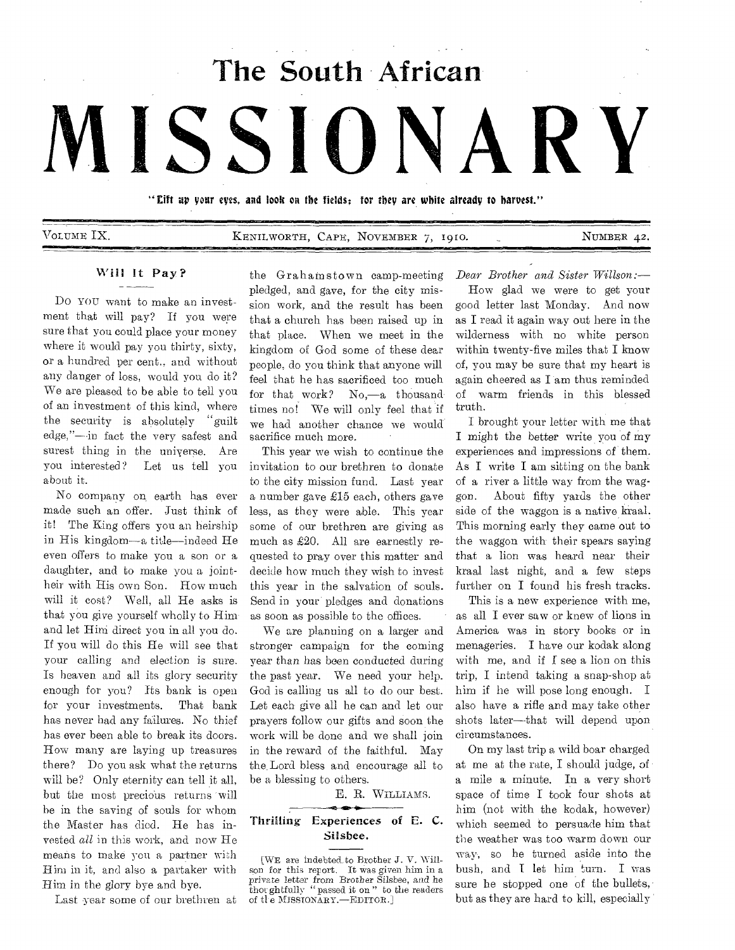**The South African** 

# **MISSIONARY**

"Eift up your eyes, and look on the fields; for they are white already to harvest."

VOLUME IX. **KENILWORTH, CAPE, NOVEMBER 7, 1910.** NUMBER 42.

## Will It Pay?

Do you want to make an investment that will pay? If you were sure that you could place your money where it would pay you thirty, sixty, or a hundred per cent., and without any danger of loss, would you do it? We are pleased to be able to tell you of an investment of this kind, where the security is absolutely "guilt edge,"--in fact the very safest and surest thing in the universe. Are you interested? Let us tell you about it.

No company on, earth has ever made such an offer. Just think of it! The King offers you an heirship in His kingdom—a title—indeed He even offers to make you a son or a daughter, and to make you a jointheir with His own Son. How much will it cost? Well, all He asks is that you give yourself wholly to Himand let Him direct you in all you do. If you will do this He will see that your calling and election is sure. Is heaven and all its glory security enough for you? Its bank is open for your investments. That bank has never had any failures. No thief has ever been able to break its doors. How many are laying up treasures there? Do you ask what the returns will be? Only eternity can tell it all, but the most precious returns will be in the saving of souls for whom the Master has died. He has invested *all* in this work, and now He means to make you a partner with Him in it, and also a partaker with Him in the glory bye and bye.

Last year some of our brethren at

the Grahamstown camp-meeting pledged, and gave, for the city mission work, and the result has been that a church has been raised up in that place. When we meet in the kingdom of God some of these dear people, do you think that anyone will feel that he has sacrificed too much for that work? No,—a thousand times no! We will only feel that if we had another chance we would sacrifice much more.

This year we wish to continue the invitation to our brethren to donate to the city mission fund. Last year a number gave  $£15$  each, others gave less, as they were able. This year some of our brethren are giving as much as £20. All are earnestly requested to pray over this matter and decide how much they wish to invest this year in the salvation of souls. Send in your pledges and donations as soon as possible to the offices.

We are planning on a larger and stronger campaign for the coming year than has been conducted during the past year. We need your help. God is calling us all to do our best. Let each give all he can and let our prayers follow our gifts and soon the work will be done and we shall join in the reward of the faithful. May the. Lord bless and encourage all to be a blessing to others.

E. B. WILLIAMS.

#### **12** Thrilling Experiences of E. C. Silsbee.

*Dear Brother and Sister Willson:— How* glad we were to get your good letter last Monday. And now as I read it again way out here in the wilderness with no white person within twenty-five miles that I know of, you may be sure that my heart is again cheered as I am thus reminded of warm friends in this blessed truth.

I brought your letter with me that I might the better write you of my experiences and impressions of them. As I write I am sitting on the bank of a river a little way from the waggon. About fifty yards the other side of the waggon is a native kraal. This morning early they came out to the waggon with their spears saying that a lion was heard near their kraal last night, and a few steps further on I found his fresh tracks.

This is a new experience with me, as all I ever saw or knew of lions in America was in story books or in menageries. I have our kodak along with me, and if I see a lion on this trip, I intend taking a snap-shop at him if he will pose long enough. I also have a rifle and may take other shots later—that will depend upon circumstances.

On my last trip a wild boar charged at me at the rate, I should judge, of a mile a minute. In a very short space of time I took four shots at him (not with the kodak, however) which seemed to persuade him that the weather was too warm down our way, so he turned aside into the bush, and I let him turn. I was sure he stopped one of the bullets, but as they are hard to kill, especially

<sup>[</sup>WE are indebted,to Brother J. V. Willson for this report. It was given him in a private letter *from* Brother Silsbee, and *he*  thoughtfully "passed it on" to the readers of the MISSIONARY.-EDITOR.]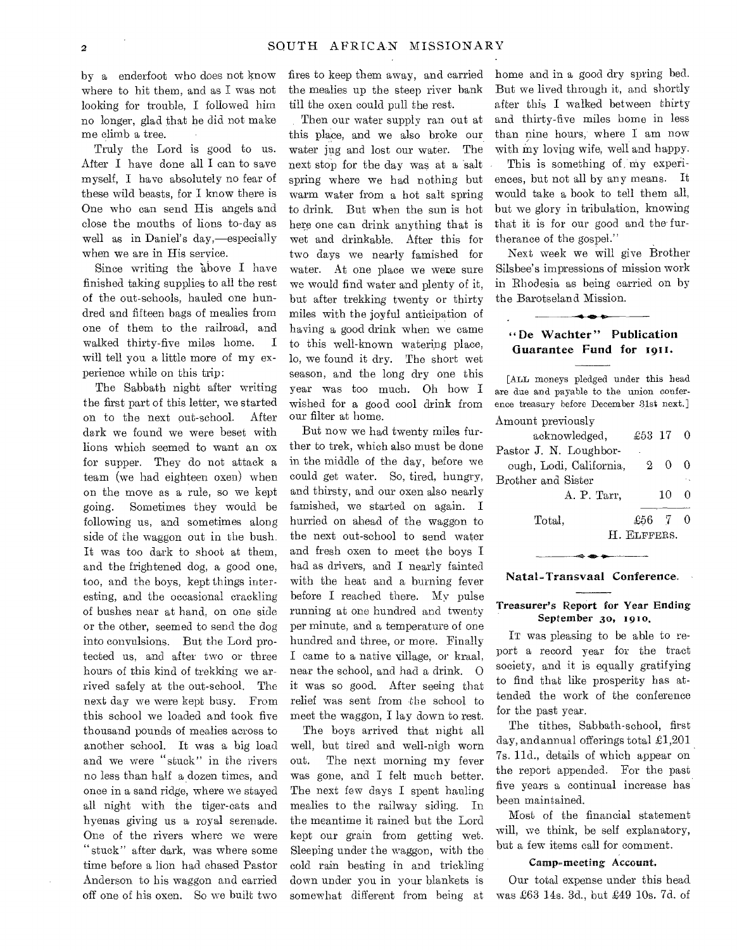by a enderfoot who does not know where to hit them, and as I was not looking for trouble, I followed him no longer, glad that he did not make me climb a tree.

Truly the Lord is good to us. After I have done all I can to save myself, I have absolutely no fear of these wild beasts, for I know there is One who can send His angels and close the mouths of lions to-day as well as in Daniel's day,—especially when we are in His service.

Since writing the 'above I have finished taking supplies to all the rest of the out-schools, hauled one hundred and fifteen bags of mealies from one of them to the railroad, and walked thirty-five miles home. I will tell you a little more of my experience while on this trip:

The Sabbath night after writing the first part of this letter, we started on to the next out-school. After dark we found we were beset with lions which seemed to want an ox for supper. They do not attack a team (we had eighteen oxen) when on the move as a rule, so we kept going. Sometimes they would be following us, and sometimes along side of the waggon out in the bush. It was too dark to shoot at them, and the frightened dog, a good one, too, and the boys, kept things interesting, and the occasional crackling of bushes near at hand, on one side or the other, seemed to send the dog into convulsions. But the Lord protected us, and after two or three hours of this kind of trekking we arrived safely at the out-school. The next day we were kept busy. From this school we loaded and took five thousand pounds of mealies across to another school. It was a big load and we were "stuck" in the rivers no less than half a dozen times, and once in a sand ridge, where we stayed all night with the tiger-cats and hyenas giving us a royal serenade. One of the rivers where we were "stuck" after dark, was where some time before a lion had chased Pastor Anderson to his waggon and carried off one of his oxen. So we built two

fires to keep them away, and carried the mealies up the steep river bank till the oxen could pull the rest.

Then our water supply ran out at this place, and we also broke our water jug and lost our water. The next stop for the day was at a salt spring where we had nothing but warm water from a hot salt spring to drink. But when the sun is hot here one can drink anything that is wet and drinkable. After this for two days we nearly famished for water. At one place we were sure we would find water and plenty of it, but after trekking twenty or thirty miles with the joyful anticipation of having a good drink when we came to this well-known watering place, lo, we found it dry. The short wet season, and the long dry one this year was too much. Oh how I wished for a good cool drink from our filter at home.

But now we had twenty miles further to trek, which also must be done in the middle of the day, before we could get water. So, tired, hungry, and thirsty, and our oxen also nearly famished, we started on again. I hurried on ahead of the waggon to the next out-school to send water and fresh oxen to meet the boys I had as drivers, and I nearly fainted with the heat and a burning fever before I reached there. My pulse running at one hundred and twenty per minute, and a temperature of one hundred and three, or more. Finally I came to a native village, or kraal, near the school, and had a drink. 0 it was so good. After seeing that relief was sent from the school to meet the waggon, I lay down to rest.

The boys arrived that night all well, but tired and well-nigh worn out. The next morning my fever was gone, and I felt much better. The next few days I spent hauling mealies to the railway siding. In the meantime it rained but the Lord kept our grain from getting wet. Sleeping under the waggon, with the cold rain beating in and trickling down under you in your blankets is somewhat different from being at home and in a good dry spring bed. But we lived through it, and shortly after this I walked between thirty and thirty-five miles home in less than nine hours, where I am now with my loving wife, well and happy.

This is something of my experiences, but not all by any means. It would take a book to tell them all, but we glory in tribulation, knowing that it is for our good and the furtherance of the gospel."

Next week we will give Brother Silsbee's impressions of mission work in Rhodesia as being carried on by the Barotseland Mission.

## De Wachter" Publication Guarantee Fund for 1911.

**---40-4110** 

[ALL moneys pledged under this head are due and payable to the union conference treasury before December 31st next.] Amount previously

| ************************* |             |    |   |
|---------------------------|-------------|----|---|
| acknowledged,             | $£53$ 17 0  |    |   |
| Pastor J. N. Loughbor-    |             |    |   |
| ough, Lodi, California,   |             | 20 | ∩ |
| Brother and Sister        |             |    |   |
| A. P. Tarr,               |             | 10 | 0 |
| Total.                    | $£56$ 7     |    |   |
|                           | H. ELFFERS. |    |   |
|                           |             |    |   |

#### Natal-Transvaal Conference.

## Treasurer's Report for Year Ending September 30, 1910.

IT was pleasing to be able to report a record year for the tract society, and it is equally gratifying to find that like prosperity has attended the work of the conference for the past year.

The tithes, Sabbath-school, first day, and annual offerings total  $\pounds1,201$ 7s. lid., details of which appear on the report appended. For the past five years a continual increase has been maintained.

Most of the financial statement will, we think, be self explanatory, but a few items call for comment.

## Camp-meeting Account.

Our total expense under this head was £63 14s. 3d., but £49 10s. 7d. of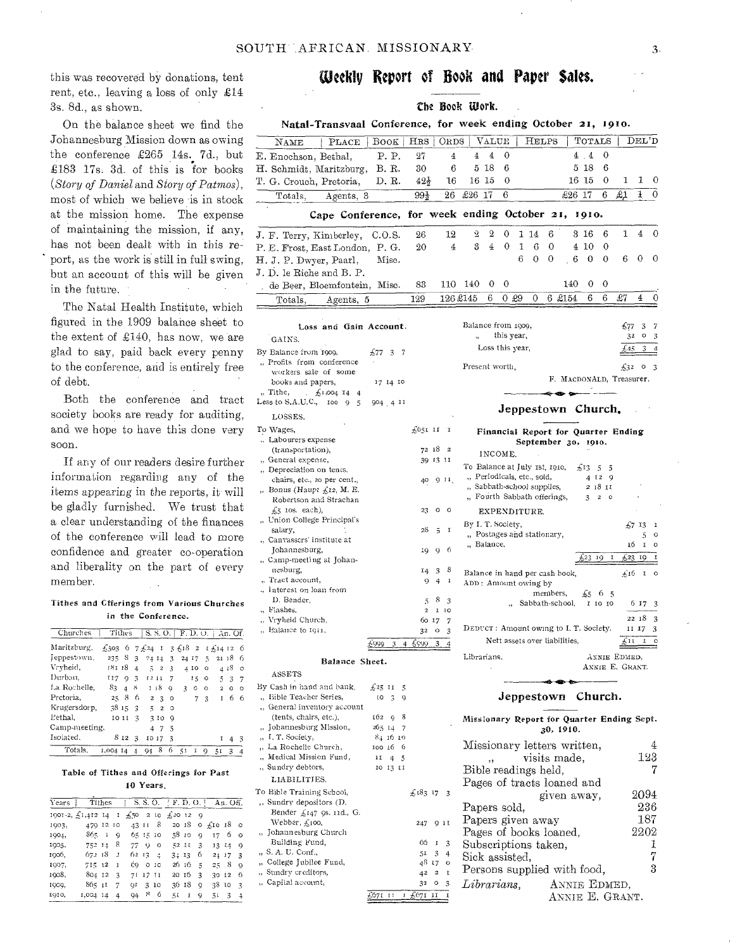this was recovered by donations, tent rent, etc., leaving a loss of only £14 3s. 8d., as shown.

On the balance sheet we find the Johannesburg Mission down as owing the conference £265 14s. 7d., but £183 17s. 3d. of this is for books *(Story of \_Daniel* and *Story of Patmos),*  most of which we believe 'is in stock at the mission home. The expense of maintaining the mission, if any, has not been dealt with in this report, as the work is still in full swing, but an account of this will be given in the future.  $\sim$ 

The Natal Health Institute, which figured in the 1909 balance sheet to the extent of £140, has now, we are glad to say, paid back every penny to the conference, and is entirely free of debt.

Both the conference and tract society books are ready for auditing, and we hope to have this done very soon.

If any of our readers desire further information regarding any of the items appearing in the reports, it-will be gladly furnished. We trust that a clear understanding of the finances of the conference will lead to more confidence and greater co-operation and liberality on the part of every member.

### Tithes and Cfferings from Various Churches in the Conference.

| Churches      |                               |                      |                         |                |                  |              |      |        |         | Tithes $ S, S, O,  F, D, O,  $ An. Of. |         |          |
|---------------|-------------------------------|----------------------|-------------------------|----------------|------------------|--------------|------|--------|---------|----------------------------------------|---------|----------|
| Maritzburg,   | £303 6 7£24 1 3£18 2 t£1412 6 |                      |                         |                |                  |              |      |        |         |                                        |         |          |
| Jeppestown.   | $235 \t8 \t3$                 |                      |                         |                | $24\,14\,3$      |              |      | 24 I7  | -5.     |                                        | 21, 18  | - 6      |
| Vryheid,      | 181 18                        |                      | 4                       |                | 52               | $\mathbf{3}$ |      | 4 IO   | $\circ$ |                                        | 4 18    | o        |
| Durban.       | 117                           |                      | 0 <sup>3</sup>          |                | 1211             | - 7          |      | $15 -$ | $\circ$ | $\tilde{1}$                            | 3       | -7       |
| La Rochelle.  |                               | $83 \quad 4 \quad 8$ |                         |                | 1 i 8 -          | 9            | 3    | O      | o       | $\overline{z}$                         | $\circ$ | $\Omega$ |
| Pretoria.     |                               | 258                  | 6                       |                | $2 \overline{3}$ | $^{\circ}$   |      | 7      | 3       | 1                                      | 6       | 6        |
| Krugersdorp,  |                               | 38153                |                         |                | 52               | ം            |      |        |         |                                        |         |          |
| Pethal.       |                               | 10 11                | 3                       |                | 310              | Q            |      |        |         |                                        |         |          |
| Camp-meeting, |                               |                      |                         |                | 47               | - 5          |      |        |         |                                        |         |          |
| Isolated.     |                               | 812                  | $\overline{\mathbf{3}}$ |                | IO 17            | -3           |      |        |         | r                                      | 4       | 3        |
| Totals.       | 1,004 14 4                    |                      |                         | Q <sub>4</sub> | 8                | 6            | - 51 | I      | 9       | 51                                     | 3       |          |

#### Table of Tithes and Offerings for Past 10 Years.

| Years |                                | Tithes |              |             |             |                 | S. S. O.   F. D. O. |       |   |            | An. Off. |                         |
|-------|--------------------------------|--------|--------------|-------------|-------------|-----------------|---------------------|-------|---|------------|----------|-------------------------|
|       | 1001-2, $\overline{51,412}$ 14 |        | $\bf I$      | $#50 = 210$ |             |                 | #20120              |       |   |            |          |                         |
| 1903, | 479 12 10                      |        |              | 43 11       |             | 8               |                     | 20 IS |   | ο £10 18 ο |          |                         |
| 1904, | 865                            | - î    | Q            |             | 65 15 10    |                 |                     | 58 10 | Q | 17         | 6        | $^{\circ}$              |
| 1905, | 752 14                         |        | 8            | 77.         | $\mathbf Q$ | $\circ$         |                     | 52 II | 3 |            | 13 14    | $\Omega$                |
| 1906, | 672.18                         |        | $\mathbf{z}$ | 62 IS 4     |             |                 | 3:13                |       | 6 | 24 17      |          | $\mathbf{z}$            |
| 1907, | 715 12                         |        | I            | Ć0.         |             | 0 <sub>10</sub> |                     | 26 16 | 5 | 258        |          | $\Omega$                |
| 1908, | 804 12                         |        | 3            |             | 71 17 11    |                 | 20 I 6              |       | 3 | 30 12      |          | -6                      |
| IOOQ, | 865 11                         |        | 7            | ΩF          |             | 3 10            | 36 18               |       | Q | 38 10      |          | $\overline{z}$          |
| 1910, | 1,004 14                       |        | 4            | 94          | x           | 6               | ΞI                  | 1     | 9 | รเ         | 3        | $\overline{\mathbf{4}}$ |

# **Weekly Report of Book and Paper Sales.**

# Che Book Work.

|                                                                           |                  |                 |                          |                       | спе воок шогк.                                            |                           |            |              |              |          |                               |                                                            |                        |                 |              |          |
|---------------------------------------------------------------------------|------------------|-----------------|--------------------------|-----------------------|-----------------------------------------------------------|---------------------------|------------|--------------|--------------|----------|-------------------------------|------------------------------------------------------------|------------------------|-----------------|--------------|----------|
| Natal-Transvaal Conference, for week ending October 21, 1910.             |                  |                 |                          |                       |                                                           |                           |            |              |              |          |                               |                                                            |                        |                 |              |          |
| NAME<br>PLACE                                                             | <b>BOOK</b>      | HRS             |                          | <b>ORDS</b>           |                                                           | $\rm_{VALU E}$            |            |              | <b>HELPS</b> |          |                               | TOTALS                                                     |                        |                 | DEL'D        |          |
| E. Enochson, Bethal,                                                      | P. P.            | 27              |                          | $\overline{4}$        | 4                                                         | 4                         | 0          |              |              |          |                               | 4.4                                                        | 0                      |                 |              |          |
| H. Schmidt, Maritzburg,                                                   | B. R.            | 30              |                          | 6                     |                                                           | 5 18                      | 6          |              |              |          |                               | 5 18                                                       | 6                      |                 |              |          |
| T. G. Crouch, Pretoria,                                                   | D. R.            | $42\frac{1}{2}$ |                          | 16                    | 16 15                                                     |                           | 0          |              |              |          |                               | 16 15                                                      | 0                      | 1               | 1            | 0        |
| Totals.<br>Agents, 3                                                      |                  | 99}             |                          | 26                    | £26 17                                                    |                           | 6          |              |              |          | $£26$ 17                      |                                                            | 6                      | £1              | 1            | 0        |
| Cape Conference, for week ending October 21,                              |                  |                 |                          |                       |                                                           |                           |            |              |              |          |                               | 1010.                                                      |                        |                 |              |          |
|                                                                           |                  |                 |                          |                       |                                                           |                           |            |              |              |          |                               |                                                            |                        |                 |              |          |
| J. F. Terry, Kimberley,                                                   | C.O.S.           | 26              |                          | 12                    | 2                                                         | 2                         | 0          | 1 14         |              | 6        |                               | 316                                                        | 6                      | 1               | 4            | 0        |
| P. E. Frost, East London, P. G.                                           |                  | 20              |                          | 4                     | 3                                                         | $\overline{4}$            | $\theta$   | $\mathbf{I}$ | 6            | 0        |                               | 4 10                                                       | 0                      |                 |              |          |
| H. J. P. Dwyer, Paarl,                                                    | Misc.            |                 |                          |                       |                                                           |                           |            | 6            | $\theta$     | $\theta$ | 6                             | 0                                                          | $\mathbf 0$            | 6               | 0            | 0        |
| J. D. le Riche and B. P.                                                  |                  |                 |                          |                       |                                                           |                           |            |              |              |          |                               |                                                            |                        |                 |              |          |
| de Beer, Bloemfontein, Misc.                                              |                  | 83              |                          |                       | 110 140                                                   | 0                         | 0          |              |              |          | 140                           | 0                                                          | 0                      |                 |              |          |
| Totals,<br>Agents, 5                                                      |                  | 129             |                          |                       | 126 £145                                                  | 6                         | 0.29       |              | 0            |          | 6 £154                        | 6                                                          | 6                      | £7              | 4            |          |
|                                                                           |                  |                 |                          |                       |                                                           |                           |            |              |              |          |                               |                                                            |                        |                 |              |          |
| Loss and Gain Account.                                                    |                  |                 |                          |                       | Balance from 1909,<br>$\ddot{\phantom{1}}$                |                           | this year, |              |              |          |                               |                                                            |                        | 677             | 3<br>o<br>32 | 7<br>3   |
| GAINS.                                                                    |                  |                 |                          |                       |                                                           | Loss this year,           |            |              |              |          |                               |                                                            |                        |                 | 3<br>45      |          |
| By Balance from 1909,<br>"Profits from conference                         | £77<br>37        |                 |                          |                       |                                                           |                           |            |              |              |          |                               |                                                            |                        |                 |              |          |
| workers sale of some                                                      |                  |                 |                          |                       | Present worth,                                            |                           |            |              |              |          |                               |                                                            |                        | £32             | $\circ$      | -3       |
| books and papers,                                                         | 17 14 10         |                 |                          |                       |                                                           |                           |            |              |              |          |                               | F. MACDONALD, Treasurer.                                   |                        |                 |              |          |
| $\frac{1}{2}1,004$ 14 4<br>"Tithe,<br>Less to S.A.U.C., $\frac{100}{9}$ 5 | 904 4 11         |                 |                          |                       |                                                           |                           |            |              |              |          |                               | $\leftrightarrow$ $\bullet$ $\rightarrow$ $ -$             |                        |                 |              |          |
| LOSSES.                                                                   |                  |                 |                          |                       |                                                           |                           |            |              |              |          |                               | Jeppestown Church.                                         |                        |                 |              |          |
| To Wages,                                                                 |                  | £651 11 1       |                          |                       |                                                           |                           |            |              |              |          |                               |                                                            |                        |                 |              |          |
| Labourers expense                                                         |                  |                 |                          |                       |                                                           |                           |            |              |              |          |                               | Financial Report for Quarter Ending<br>September 30, 1910. |                        |                 |              |          |
| (transportation),                                                         |                  |                 | 72 18 2                  |                       |                                                           | INCOME.                   |            |              |              |          |                               |                                                            |                        |                 |              |          |
| " General expense,<br>" Depreciation on tents.                            |                  |                 | 39 13 11                 |                       | To Balance at July 1st, 1910,                             |                           |            |              |              |          |                               | £1355                                                      |                        |                 |              |          |
| chairs, etc., 20 per cent.,                                               |                  | 40              | $9$ $11$ .               |                       | " Periodicals, etc., sold,                                |                           |            |              |              |          |                               |                                                            | 4 12 9                 |                 |              |          |
| "Bonus (Haupt $f_{\mathcal{A}}$ 12, M.E.                                  |                  |                 |                          |                       | " Sabbath-school supplies,<br>" Fourth Sabbath offerings, |                           |            |              |              |          |                               |                                                            | 2 18 II<br>$3 \t2 \t0$ |                 |              |          |
| Robertson and Strachan<br>$f5$ ios. each),                                |                  | 23              | о                        | $\circ$               |                                                           | EXPENDITURE.              |            |              |              |          |                               |                                                            |                        |                 |              |          |
| " Union College Principal's                                               |                  |                 |                          |                       | By I. T. Society,                                         |                           |            |              |              |          |                               |                                                            |                        |                 | £7 I3        | I        |
| salary,<br>"Canvassers' institute at                                      |                  | 28              | 5                        | I                     |                                                           | "Postages and stationary, |            |              |              |          |                               |                                                            |                        |                 | 5            | $\circ$  |
| Johannesburg,                                                             |                  | 19              | 9                        | -6                    |                                                           | " Balance,                |            |              |              |          |                               |                                                            |                        |                 | 16<br>1      | o        |
| "Camp-meeting at Johan-                                                   |                  |                 |                          |                       |                                                           |                           |            |              |              |          |                               | 523 19                                                     | 1                      | $+23$           | -19          |          |
| nesburg,<br>" Tract account,                                              |                  | 14              | 3                        | 8                     | Balance in hand per cash book,                            |                           |            |              |              |          |                               |                                                            |                        |                 | £16 I o      |          |
| ., Interest on loan from                                                  |                  | 9               | 4                        | 1                     | ADD: Amount owing by                                      |                           |            |              | members,     |          |                               |                                                            |                        |                 |              |          |
| D. Bender,                                                                |                  | 5               | 8                        | 3                     |                                                           |                           |            |              |              |          | Sabbath-school,               |                                                            | £565<br>I 10 10        |                 | 6 17         | 3        |
| " Flashes,<br>Vryheid Church,                                             |                  | $\overline{2}$  | $\bf{l}$                 | 10                    |                                                           |                           |            |              |              |          |                               |                                                            |                        |                 | 22 18        | 3        |
| " Balance to I911,                                                        |                  |                 | 60 17<br>$32$ O          | 7<br>3                | DEDUCT: Amount owing to I. T. Society,                    |                           |            |              |              |          |                               |                                                            |                        |                 | II 17        | 3        |
|                                                                           | £999<br>3<br>4   | -6999           | 3                        | 4                     |                                                           |                           |            |              |              |          | Nett assets over liabilities, |                                                            |                        | £11             | 1            | o        |
| Balance Sheet.                                                            |                  |                 |                          |                       | Librarians.                                               |                           |            |              |              |          |                               |                                                            |                        | ANNIE EDMED.    |              |          |
| ASSETS                                                                    |                  |                 |                          |                       |                                                           |                           |            |              |              |          |                               |                                                            |                        | ANNIE E. GRANT. |              |          |
| By Cash in hand and bank,                                                 | £25 11 5         |                 |                          |                       |                                                           |                           |            |              |              |          |                               |                                                            |                        |                 |              |          |
| " Bible Teacher Series,                                                   | $10^{6}$ 3<br>-9 |                 |                          |                       |                                                           |                           |            |              |              |          |                               | Jeppestown Church.                                         |                        |                 |              |          |
| " General inventory account<br>(tents, chairs, etc.),                     | $162 - 9$<br>8   |                 |                          |                       |                                                           |                           |            |              |              |          |                               |                                                            |                        |                 |              |          |
| "Johannesburg Mission,                                                    | 265 14 7         |                 |                          |                       | Missionary Report for Quarter Ending Sept.                |                           |            |              |              |          | 30, 1910.                     |                                                            |                        |                 |              |          |
| "I. T. Society,                                                           | 84 16 10         |                 |                          |                       |                                                           |                           |            |              |              |          |                               |                                                            |                        |                 |              |          |
| "La Rochelle Church,<br>"Medical Mission Fund,                            | 100 16 6<br>1145 |                 |                          |                       | Missionary letters written,                               |                           |            |              |              |          |                               |                                                            |                        |                 |              | 4<br>123 |
| ,, Sundry debtors,                                                        | 10 13 11         |                 |                          |                       | Bible readings held,                                      |                           |            |              |              |          | visits made,                  |                                                            |                        |                 |              | 7        |
| LIABILITIES.                                                              |                  |                 |                          |                       | Pages of tracts loaned and                                |                           |            |              |              |          |                               |                                                            |                        |                 |              |          |
| To Bible Training School,                                                 |                  | £183173         |                          |                       |                                                           |                           |            |              |              |          |                               | given away,                                                |                        |                 | 2094         |          |
| ,, Sundry depositors (D.                                                  |                  |                 |                          |                       | Papers sold,                                              |                           |            |              |              |          |                               |                                                            |                        |                 |              | 236      |
| Bender £147 9s. 11d., G.<br>Webber, £100,                                 |                  |                 | 247 9 11                 |                       | Papers given away                                         |                           |            |              |              |          |                               |                                                            |                        |                 |              | 187      |
| "Johannesburg Church                                                      |                  |                 |                          |                       | Pages of books loaned,                                    |                           |            |              |              |          |                               |                                                            |                        |                 | 2202         |          |
| Building Fund,                                                            |                  | 66              | -1                       | 3                     | Subscriptions taken,                                      |                           |            |              |              |          |                               |                                                            |                        |                 |              | 1        |
| ,, S. A. U. Conf.,<br>" College Jubilee Fund,                             |                  | 51              | 3<br>48 I 7              | $\ddot{4}$<br>$\circ$ | Sick assisted,                                            |                           |            |              |              |          |                               |                                                            |                        |                 |              | 7        |
| ., Sundry creditors,                                                      |                  | 42              | $\overline{\phantom{a}}$ | $\mathfrak I$         | Persons supplied with food,                               |                           |            |              |              |          |                               |                                                            |                        |                 |              | 3        |
| ,, Capital account,                                                       |                  | 32              | $\circ$                  | 3                     | Librarians                                                |                           |            |              |              |          |                               | ANNIE EDMED.                                               |                        |                 |              |          |

£671 III £671 11 1

ANNIE E. GRANT.